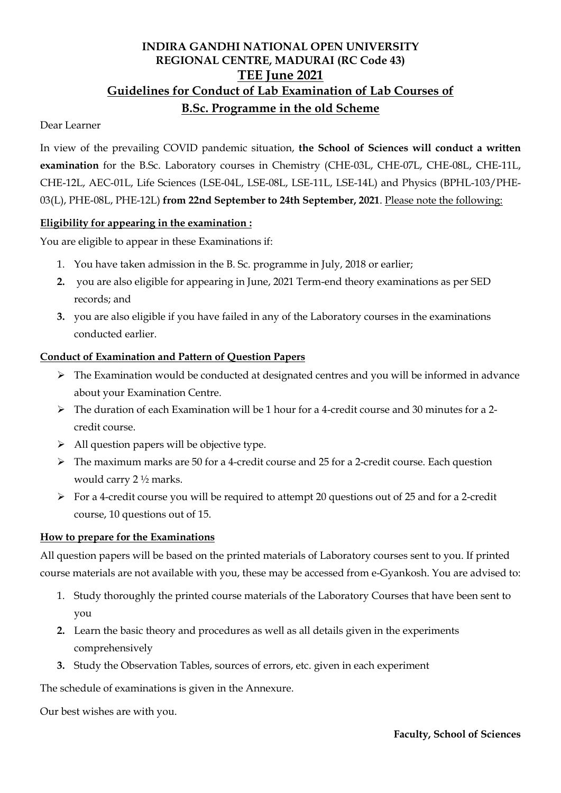# **INDIRA GANDHI NATIONAL OPEN UNIVERSITY REGIONAL CENTRE, MADURAI (RC Code 43) TEE June 2021 Guidelines for Conduct of Lab Examination of Lab Courses of B.Sc. Programme in the old Scheme**

### Dear Learner

In view of the prevailing COVID pandemic situation, **the School of Sciences will conduct a written examination** for the B.Sc. Laboratory courses in Chemistry (CHE-03L, CHE-07L, CHE-08L, CHE-11L, CHE-12L, AEC-01L, Life Sciences (LSE-04L, LSE-08L, LSE-11L, LSE-14L) and Physics (BPHL-103/PHE-03(L), PHE-08L, PHE-12L) **from 22nd September to 24th September, 2021**. Please note the following:

### **Eligibility for appearing in the examination :**

You are eligible to appear in these Examinations if:

- 1. You have taken admission in the B. Sc. programme in July, 2018 or earlier;
- **2.** you are also eligible for appearing in June, 2021 Term-end theory examinations as per SED records; and
- **3.** you are also eligible if you have failed in any of the Laboratory courses in the examinations conducted earlier.

### **Conduct of Examination and Pattern of Question Papers**

- $\triangleright$  The Examination would be conducted at designated centres and you will be informed in advance about your Examination Centre.
- $\triangleright$  The duration of each Examination will be 1 hour for a 4-credit course and 30 minutes for a 2credit course.
- $\triangleright$  All question papers will be objective type.
- $\triangleright$  The maximum marks are 50 for a 4-credit course and 25 for a 2-credit course. Each question would carry 2 ½ marks.
- $\triangleright$  For a 4-credit course you will be required to attempt 20 questions out of 25 and for a 2-credit course, 10 questions out of 15.

### **How to prepare for the Examinations**

All question papers will be based on the printed materials of Laboratory courses sent to you. If printed course materials are not available with you, these may be accessed from e-Gyankosh. You are advised to:

- 1. Study thoroughly the printed course materials of the Laboratory Courses that have been sent to you
- **2.** Learn the basic theory and procedures as well as all details given in the experiments comprehensively
- **3.** Study the Observation Tables, sources of errors, etc. given in each experiment

The schedule of examinations is given in the Annexure.

Our best wishes are with you.